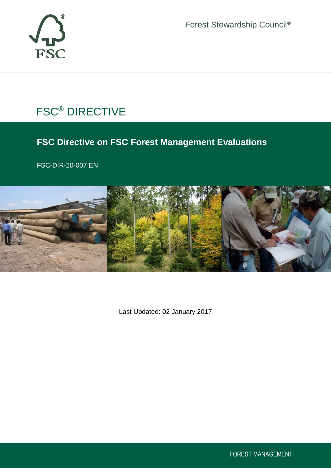

Forest Stewardship Council®

# FSC**®** DIRECTIVE

# **FSC Directive on FSC Forest Management Evaluations**

FSC-DIR-20-007 EN



Last Updated: 02 January 2017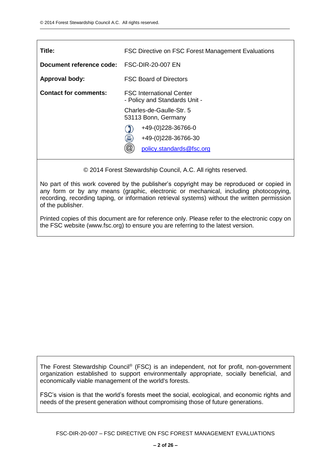| Title:                                     | <b>FSC Directive on FSC Forest Management Evaluations</b>        |  |  |
|--------------------------------------------|------------------------------------------------------------------|--|--|
| Document reference code: FSC-DIR-20-007 EN |                                                                  |  |  |
| <b>Approval body:</b>                      | <b>FSC Board of Directors</b>                                    |  |  |
| <b>Contact for comments:</b>               | <b>FSC International Center</b><br>- Policy and Standards Unit - |  |  |
|                                            | Charles-de-Gaulle-Str. 5<br>53113 Bonn, Germany                  |  |  |
|                                            | +49-(0)228-36766-0                                               |  |  |
|                                            | 且<br>+49-(0)228-36766-30                                         |  |  |
|                                            | policy.standards@fsc.org                                         |  |  |

© 2014 Forest Stewardship Council, A.C. All rights reserved.

No part of this work covered by the publisher's copyright may be reproduced or copied in any form or by any means (graphic, electronic or mechanical, including photocopying, recording, recording taping, or information retrieval systems) without the written permission of the publisher.

Printed copies of this document are for reference only. Please refer to the electronic copy on the FSC website (www.fsc.org) to ensure you are referring to the latest version.

The Forest Stewardship Council® (FSC) is an independent, not for profit, non-government organization established to support environmentally appropriate, socially beneficial, and economically viable management of the world's forests.

FSC's vision is that the world's forests meet the social, ecological, and economic rights and needs of the present generation without compromising those of future generations.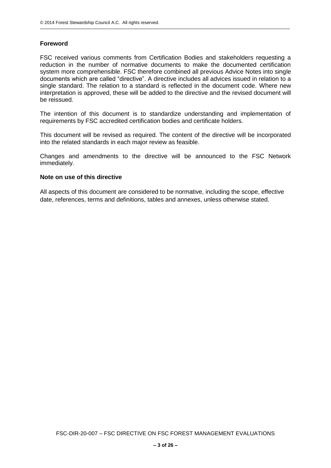# **Foreword**

FSC received various comments from Certification Bodies and stakeholders requesting a reduction in the number of normative documents to make the documented certification system more comprehensible. FSC therefore combined all previous Advice Notes into single documents which are called "directive". A directive includes all advices issued in relation to a single standard. The relation to a standard is reflected in the document code. Where new interpretation is approved, these will be added to the directive and the revised document will be reissued.

The intention of this document is to standardize understanding and implementation of requirements by FSC accredited certification bodies and certificate holders.

This document will be revised as required. The content of the directive will be incorporated into the related standards in each major review as feasible.

Changes and amendments to the directive will be announced to the FSC Network immediately.

#### **Note on use of this directive**

All aspects of this document are considered to be normative, including the scope, effective date, references, terms and definitions, tables and annexes, unless otherwise stated.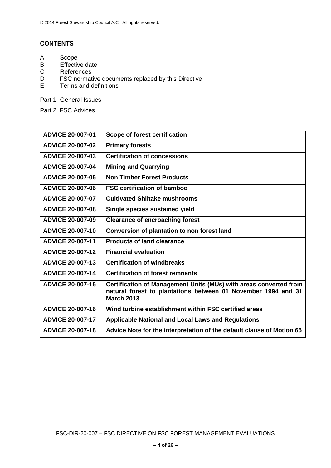# **CONTENTS**

- A Scope<br>B Effectiv
- B Effective date<br>C References
- C References<br>D FSC normat
- FSC normative documents replaced by this Directive
- E Terms and definitions
- Part 1 General Issues
- Part 2 FSC Advices

| <b>ADVICE 20-007-01</b> | Scope of forest certification                                                                                                                           |
|-------------------------|---------------------------------------------------------------------------------------------------------------------------------------------------------|
| <b>ADVICE 20-007-02</b> | <b>Primary forests</b>                                                                                                                                  |
| <b>ADVICE 20-007-03</b> | <b>Certification of concessions</b>                                                                                                                     |
| <b>ADVICE 20-007-04</b> | <b>Mining and Quarrying</b>                                                                                                                             |
| <b>ADVICE 20-007-05</b> | <b>Non Timber Forest Products</b>                                                                                                                       |
| <b>ADVICE 20-007-06</b> | <b>FSC certification of bamboo</b>                                                                                                                      |
| <b>ADVICE 20-007-07</b> | <b>Cultivated Shiitake mushrooms</b>                                                                                                                    |
| <b>ADVICE 20-007-08</b> | Single species sustained yield                                                                                                                          |
| <b>ADVICE 20-007-09</b> | <b>Clearance of encroaching forest</b>                                                                                                                  |
| <b>ADVICE 20-007-10</b> | Conversion of plantation to non forest land                                                                                                             |
| <b>ADVICE 20-007-11</b> | <b>Products of land clearance</b>                                                                                                                       |
| <b>ADVICE 20-007-12</b> | <b>Financial evaluation</b>                                                                                                                             |
| <b>ADVICE 20-007-13</b> | <b>Certification of windbreaks</b>                                                                                                                      |
| <b>ADVICE 20-007-14</b> | <b>Certification of forest remnants</b>                                                                                                                 |
| <b>ADVICE 20-007-15</b> | Certification of Management Units (MUs) with areas converted from<br>natural forest to plantations between 01 November 1994 and 31<br><b>March 2013</b> |
| <b>ADVICE 20-007-16</b> | Wind turbine establishment within FSC certified areas                                                                                                   |
| <b>ADVICE 20-007-17</b> | <b>Applicable National and Local Laws and Regulations</b>                                                                                               |
| <b>ADVICE 20-007-18</b> | Advice Note for the interpretation of the default clause of Motion 65                                                                                   |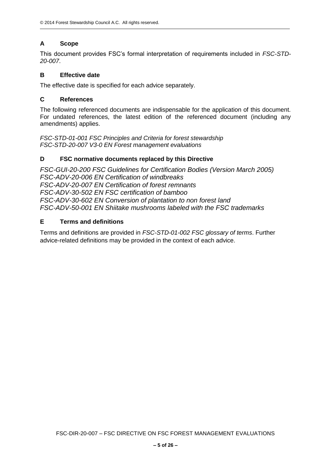# **A Scope**

This document provides FSC's formal interpretation of requirements included in *FSC-STD-20-007*.

#### **B Effective date**

The effective date is specified for each advice separately.

#### **C References**

The following referenced documents are indispensable for the application of this document. For undated references, the latest edition of the referenced document (including any amendments) applies.

*FSC-STD-01-001 FSC Principles and Criteria for forest stewardship FSC-STD-20-007 V3-0 EN Forest management evaluations*

#### **D FSC normative documents replaced by this Directive**

*FSC-GUI-20-200 FSC Guidelines for Certification Bodies (Version March 2005) FSC-ADV-20-006 EN Certification of windbreaks FSC-ADV-20-007 EN Certification of forest remnants FSC-ADV-30-502 EN FSC certification of bamboo FSC-ADV-30-602 EN Conversion of plantation to non forest land FSC-ADV-50-001 EN Shiitake mushrooms labeled with the FSC trademarks*

#### **E Terms and definitions**

Terms and definitions are provided in *FSC-STD-01-002 FSC glossary of terms*. Further advice-related definitions may be provided in the context of each advice.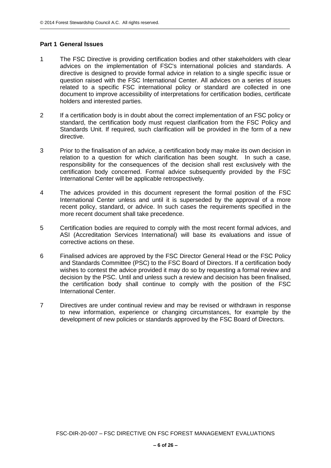#### **Part 1 General Issues**

- 1 The FSC Directive is providing certification bodies and other stakeholders with clear advices on the implementation of FSC's international policies and standards. A directive is designed to provide formal advice in relation to a single specific issue or question raised with the FSC International Center. All advices on a series of issues related to a specific FSC international policy or standard are collected in one document to improve accessibility of interpretations for certification bodies, certificate holders and interested parties.
- 2 If a certification body is in doubt about the correct implementation of an FSC policy or standard, the certification body must request clarification from the FSC Policy and Standards Unit. If required, such clarification will be provided in the form of a new directive.
- 3 Prior to the finalisation of an advice, a certification body may make its own decision in relation to a question for which clarification has been sought. In such a case, responsibility for the consequences of the decision shall rest exclusively with the certification body concerned. Formal advice subsequently provided by the FSC International Center will be applicable retrospectively.
- 4 The advices provided in this document represent the formal position of the FSC International Center unless and until it is superseded by the approval of a more recent policy, standard, or advice. In such cases the requirements specified in the more recent document shall take precedence.
- 5 Certification bodies are required to comply with the most recent formal advices, and ASI (Accreditation Services International) will base its evaluations and issue of corrective actions on these.
- 6 Finalised advices are approved by the FSC Director General Head or the FSC Policy and Standards Committee (PSC) to the FSC Board of Directors. If a certification body wishes to contest the advice provided it may do so by requesting a formal review and decision by the PSC. Until and unless such a review and decision has been finalised, the certification body shall continue to comply with the position of the FSC International Center.
- 7 Directives are under continual review and may be revised or withdrawn in response to new information, experience or changing circumstances, for example by the development of new policies or standards approved by the FSC Board of Directors.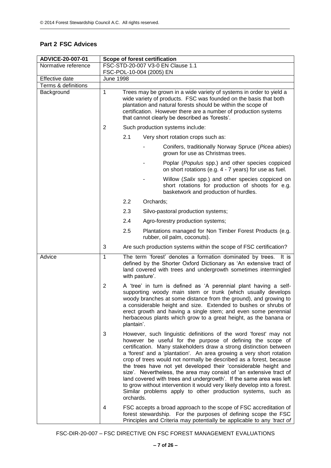#### **Part 2 FSC Advices**

| ADVICE-20-007-01    | Scope of forest certification                                 |                |           |                                                                                                                                                                                                                                                                                                                                                                                                                                                                                                                                                                                                                                                                                                                 |
|---------------------|---------------------------------------------------------------|----------------|-----------|-----------------------------------------------------------------------------------------------------------------------------------------------------------------------------------------------------------------------------------------------------------------------------------------------------------------------------------------------------------------------------------------------------------------------------------------------------------------------------------------------------------------------------------------------------------------------------------------------------------------------------------------------------------------------------------------------------------------|
| Normative reference | FSC-STD-20-007 V3-0 EN Clause 1.1<br>FSC-POL-10-004 (2005) EN |                |           |                                                                                                                                                                                                                                                                                                                                                                                                                                                                                                                                                                                                                                                                                                                 |
| Effective date      | <b>June 1998</b>                                              |                |           |                                                                                                                                                                                                                                                                                                                                                                                                                                                                                                                                                                                                                                                                                                                 |
| Terms & definitions |                                                               |                |           |                                                                                                                                                                                                                                                                                                                                                                                                                                                                                                                                                                                                                                                                                                                 |
| Background          | $\mathbf 1$                                                   |                |           | Trees may be grown in a wide variety of systems in order to yield a<br>wide variety of products. FSC was founded on the basis that both<br>plantation and natural forests should be within the scope of<br>certification. However there are a number of production systems<br>that cannot clearly be described as 'forests'.                                                                                                                                                                                                                                                                                                                                                                                    |
|                     | $\overline{2}$                                                |                |           | Such production systems include:                                                                                                                                                                                                                                                                                                                                                                                                                                                                                                                                                                                                                                                                                |
|                     |                                                               | 2.1            |           | Very short rotation crops such as:                                                                                                                                                                                                                                                                                                                                                                                                                                                                                                                                                                                                                                                                              |
|                     |                                                               |                |           | Conifers, traditionally Norway Spruce (Picea abies)<br>grown for use as Christmas trees.                                                                                                                                                                                                                                                                                                                                                                                                                                                                                                                                                                                                                        |
|                     |                                                               |                |           | Poplar (Populus spp.) and other species coppiced<br>on short rotations (e.g. 4 - 7 years) for use as fuel.                                                                                                                                                                                                                                                                                                                                                                                                                                                                                                                                                                                                      |
|                     |                                                               |                |           | Willow (Salix spp.) and other species coppiced on<br>short rotations for production of shoots for e.g.<br>basketwork and production of hurdles.                                                                                                                                                                                                                                                                                                                                                                                                                                                                                                                                                                 |
|                     |                                                               | 2.2            | Orchards: |                                                                                                                                                                                                                                                                                                                                                                                                                                                                                                                                                                                                                                                                                                                 |
|                     |                                                               | 2.3            |           | Silvo-pastoral production systems;                                                                                                                                                                                                                                                                                                                                                                                                                                                                                                                                                                                                                                                                              |
|                     |                                                               | 2.4            |           | Agro-forestry production systems;                                                                                                                                                                                                                                                                                                                                                                                                                                                                                                                                                                                                                                                                               |
|                     |                                                               | 2.5            |           | Plantations managed for Non Timber Forest Products (e.g.<br>rubber, oil palm, coconuts).                                                                                                                                                                                                                                                                                                                                                                                                                                                                                                                                                                                                                        |
|                     | 3                                                             |                |           | Are such production systems within the scope of FSC certification?                                                                                                                                                                                                                                                                                                                                                                                                                                                                                                                                                                                                                                              |
| Advice              | $\mathbf 1$                                                   | with pasture'. |           | The term 'forest' denotes a formation dominated by trees.<br>It is<br>defined by the Shorter Oxford Dictionary as 'An extensive tract of<br>land covered with trees and undergrowth sometimes intermingled                                                                                                                                                                                                                                                                                                                                                                                                                                                                                                      |
|                     | $\overline{2}$                                                | plantain'.     |           | A 'tree' in turn is defined as 'A perennial plant having a self-<br>supporting woody main stem or trunk (which usually develops<br>woody branches at some distance from the ground), and growing to<br>a considerable height and size. Extended to bushes or shrubs of<br>erect growth and having a single stem; and even some perennial<br>herbaceous plants which grow to a great height, as the banana or                                                                                                                                                                                                                                                                                                    |
|                     | 3                                                             | orchards.      |           | However, such linguistic definitions of the word 'forest' may not<br>however be useful for the purpose of defining the scope of<br>certification. Many stakeholders draw a strong distinction between<br>a 'forest' and a 'plantation'. An area growing a very short rotation<br>crop of trees would not normally be described as a forest, because<br>the trees have not yet developed their 'considerable height and<br>size'. Nevertheless, the area may consist of 'an extensive tract of<br>land covered with trees and undergrowth'. If the same area was left<br>to grow without intervention it would very likely develop into a forest.<br>Similar problems apply to other production systems, such as |
|                     | 4                                                             |                |           | FSC accepts a broad approach to the scope of FSC accreditation of<br>forest stewardship. For the purposes of defining scope the FSC<br>Principles and Criteria may potentially be applicable to any 'tract of                                                                                                                                                                                                                                                                                                                                                                                                                                                                                                   |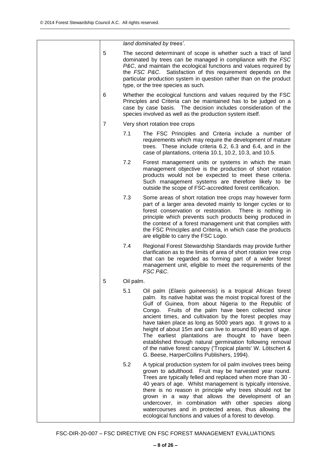|                |           | land dominated by trees'.                                                                                                                                                                                                                                                                                                                                                                                                                                                                                                                                                                                                                                              |
|----------------|-----------|------------------------------------------------------------------------------------------------------------------------------------------------------------------------------------------------------------------------------------------------------------------------------------------------------------------------------------------------------------------------------------------------------------------------------------------------------------------------------------------------------------------------------------------------------------------------------------------------------------------------------------------------------------------------|
| 5              |           | The second determinant of scope is whether such a tract of land<br>dominated by trees can be managed in compliance with the FSC<br>P&C, and maintain the ecological functions and values required by<br>the FSC P&C. Satisfaction of this requirement depends on the<br>particular production system in question rather than on the product<br>type, or the tree species as such.                                                                                                                                                                                                                                                                                      |
| 6              |           | Whether the ecological functions and values required by the FSC<br>Principles and Criteria can be maintained has to be judged on a<br>case by case basis. The decision includes consideration of the<br>species involved as well as the production system itself.                                                                                                                                                                                                                                                                                                                                                                                                      |
| $\overline{7}$ |           | Very short rotation tree crops                                                                                                                                                                                                                                                                                                                                                                                                                                                                                                                                                                                                                                         |
|                | 7.1       | The FSC Principles and Criteria include a number of<br>requirements which may require the development of mature<br>trees. These include criteria 6.2, 6.3 and 6.4, and in the<br>case of plantations, criteria 10.1, 10.2, 10.3, and 10.5.                                                                                                                                                                                                                                                                                                                                                                                                                             |
|                | 7.2       | Forest management units or systems in which the main<br>management objective is the production of short rotation<br>products would not be expected to meet these criteria.<br>Such management systems are therefore likely to be<br>outside the scope of FSC-accredited forest certification.                                                                                                                                                                                                                                                                                                                                                                          |
|                | 7.3       | Some areas of short rotation tree crops may however form<br>part of a larger area devoted mainly to longer cycles or to<br>forest conservation or restoration.<br>There is nothing in<br>principle which prevents such products being produced in<br>the context of a forest management unit that complies with<br>the FSC Principles and Criteria, in which case the products<br>are eligible to carry the FSC Logo.                                                                                                                                                                                                                                                  |
|                | 7.4       | Regional Forest Stewardship Standards may provide further<br>clarification as to the limits of area of short rotation tree crop<br>that can be regarded as forming part of a wider forest<br>management unit, eligible to meet the requirements of the<br>FSC P&C.                                                                                                                                                                                                                                                                                                                                                                                                     |
| 5              | Oil palm. |                                                                                                                                                                                                                                                                                                                                                                                                                                                                                                                                                                                                                                                                        |
|                | 5.1       | Oil palm (Elaeis guineensis) is a tropical African forest<br>palm. Its native habitat was the moist tropical forest of the<br>Gulf of Guinea, from about Nigeria to the Republic of<br>Fruits of the palm have been collected since<br>Congo.<br>ancient times, and cultivation by the forest peoples may<br>have taken place as long as 5000 years ago. It grows to a<br>height of about 15m and can live to around 80 years of age.<br>The earliest plantations are thought to have been<br>established through natural germination following removal<br>of the native forest canopy ('Tropical plants' W. Lötschert &<br>G. Beese, HarperCollins Publishers, 1994). |
|                | 5.2       | A typical production system for oil palm involves trees being<br>grown to adulthood. Fruit may be harvested year round.<br>Trees are typically felled and replaced when more than 30 -<br>40 years of age. Whilst management is typically intensive,<br>there is no reason in principle why trees should not be<br>grown in a way that allows the development of an<br>undercover, in combination with other species along<br>watercourses and in protected areas, thus allowing the<br>ecological functions and values of a forest to develop.                                                                                                                        |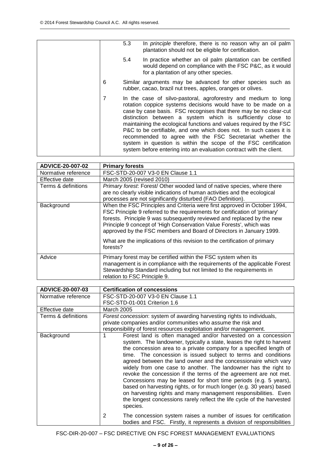|                | 5.3 | In <i>principle</i> therefore, there is no reason why an oil palm<br>plantation should not be eligible for certification.                                                                                                                                                                                                                                                                                                                                                                                                                                                                                               |
|----------------|-----|-------------------------------------------------------------------------------------------------------------------------------------------------------------------------------------------------------------------------------------------------------------------------------------------------------------------------------------------------------------------------------------------------------------------------------------------------------------------------------------------------------------------------------------------------------------------------------------------------------------------------|
|                | 5.4 | In practice whether an oil palm plantation can be certified<br>would depend on compliance with the FSC P&C, as it would<br>for a plantation of any other species.                                                                                                                                                                                                                                                                                                                                                                                                                                                       |
| 6              |     | Similar arguments may be advanced for other species such as<br>rubber, cacao, brazil nut trees, apples, oranges or olives.                                                                                                                                                                                                                                                                                                                                                                                                                                                                                              |
| $\overline{7}$ |     | In the case of silvo-pastoral, agroforestry and medium to long<br>rotation coppice systems decisions would have to be made on a<br>case by case basis. FSC recognises that there may be no clear-cut<br>distinction between a system which is sufficiently close to<br>maintaining the ecological functions and values required by the FSC<br>P&C to be certifiable, and one which does not. In such cases it is<br>recommended to agree with the FSC Secretariat whether the<br>system in question is within the scope of the FSC certification<br>system before entering into an evaluation contract with the client. |

| ADVICE-20-007-02    | <b>Primary forests</b>                                                                                                                                                                                                                                                                                                                                                           |
|---------------------|----------------------------------------------------------------------------------------------------------------------------------------------------------------------------------------------------------------------------------------------------------------------------------------------------------------------------------------------------------------------------------|
| Normative reference | FSC-STD-20-007 V3-0 EN Clause 1.1                                                                                                                                                                                                                                                                                                                                                |
| Effective date      | March 2005 (revised 2010)                                                                                                                                                                                                                                                                                                                                                        |
| Terms & definitions | Primary forest: Forest/ Other wooded land of native species, where there                                                                                                                                                                                                                                                                                                         |
|                     | are no clearly visible indications of human activities and the ecological                                                                                                                                                                                                                                                                                                        |
|                     | processes are not significantly disturbed (FAO Definition).                                                                                                                                                                                                                                                                                                                      |
| Background          | When the FSC Principles and Criteria were first approved in October 1994,<br>FSC Principle 9 referred to the requirements for certification of 'primary'<br>forests. Principle 9 was subsequently reviewed and replaced by the new<br>Principle 9 concept of 'High Conservation Value Forests', which was<br>approved by the FSC members and Board of Directors in January 1999. |
|                     | What are the implications of this revision to the certification of primary<br>forests?                                                                                                                                                                                                                                                                                           |
| Advice              | Primary forest may be certified within the FSC system when its<br>management is in compliance with the requirements of the applicable Forest<br>Stewardship Standard including but not limited to the requirements in<br>relation to FSC Principle 9.                                                                                                                            |

| ADVICE-20-007-03    | <b>Certification of concessions</b>                                                                                                                                                                                                                                                                                                                                                                                                                                                                                                                                                                                                                                                                                                                                                           |
|---------------------|-----------------------------------------------------------------------------------------------------------------------------------------------------------------------------------------------------------------------------------------------------------------------------------------------------------------------------------------------------------------------------------------------------------------------------------------------------------------------------------------------------------------------------------------------------------------------------------------------------------------------------------------------------------------------------------------------------------------------------------------------------------------------------------------------|
| Normative reference | FSC-STD-20-007 V3-0 EN Clause 1.1                                                                                                                                                                                                                                                                                                                                                                                                                                                                                                                                                                                                                                                                                                                                                             |
|                     | FSC-STD-01-001 Criterion 1.6                                                                                                                                                                                                                                                                                                                                                                                                                                                                                                                                                                                                                                                                                                                                                                  |
| Effective date      | March 2005                                                                                                                                                                                                                                                                                                                                                                                                                                                                                                                                                                                                                                                                                                                                                                                    |
| Terms & definitions | Forest concession: system of awarding harvesting rights to individuals,                                                                                                                                                                                                                                                                                                                                                                                                                                                                                                                                                                                                                                                                                                                       |
|                     | private companies and/or communities who assume the risk and                                                                                                                                                                                                                                                                                                                                                                                                                                                                                                                                                                                                                                                                                                                                  |
|                     | responsibility of forest resources exploitation and/or management.                                                                                                                                                                                                                                                                                                                                                                                                                                                                                                                                                                                                                                                                                                                            |
| Background          | Forest land is often managed and/or harvested on a concession<br>system. The landowner, typically a state, leases the right to harvest<br>the concession area to a private company for a specified length of<br>time. The concession is issued subject to terms and conditions<br>agreed between the land owner and the concessionaire which vary<br>widely from one case to another. The landowner has the right to<br>revoke the concession if the terms of the agreement are not met.<br>Concessions may be leased for short time periods (e.g. 5 years),<br>based on harvesting rights, or for much longer (e.g. 30 years) based<br>on harvesting rights and many management responsibilities. Even<br>the longest concessions rarely reflect the life cycle of the harvested<br>species. |
|                     | The concession system raises a number of issues for certification<br>2<br>bodies and FSC. Firstly, it represents a division of responsibilities                                                                                                                                                                                                                                                                                                                                                                                                                                                                                                                                                                                                                                               |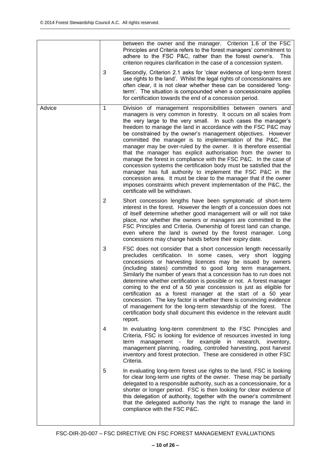|        |                | between the owner and the manager. Criterion 1.6 of the FSC<br>Principles and Criteria refers to the forest managers' commitment to<br>adhere to the FSC P&C, rather than the forest owner's.<br>This<br>criterion requires clarification in the case of a concession system.                                                                                                                                                                                                                                                                                                                                                                                                                                                                                                                                                                                                                                               |
|--------|----------------|-----------------------------------------------------------------------------------------------------------------------------------------------------------------------------------------------------------------------------------------------------------------------------------------------------------------------------------------------------------------------------------------------------------------------------------------------------------------------------------------------------------------------------------------------------------------------------------------------------------------------------------------------------------------------------------------------------------------------------------------------------------------------------------------------------------------------------------------------------------------------------------------------------------------------------|
|        | 3              | Secondly, Criterion 2.1 asks for 'clear evidence of long-term forest<br>use rights to the land'. Whilst the legal rights of concessionaires are<br>often clear, it is not clear whether these can be considered 'long-<br>term'. The situation is compounded when a concessionaire applies<br>for certification towards the end of a concession period.                                                                                                                                                                                                                                                                                                                                                                                                                                                                                                                                                                     |
| Advice | 1              | Division of management responsibilities between owners and<br>managers is very common in forestry. It occurs on all scales from<br>the very large to the very small. In such cases the manager's<br>freedom to manage the land in accordance with the FSC P&C may<br>be constrained by the owner's management objectives. However<br>committed the manager is to implementation of the P&C, the<br>manager may be over-ruled by the owner. It is therefore essential<br>that the manager has explicit authorisation from the owner to<br>manage the forest in compliance with the FSC P&C. In the case of<br>concession systems the certification body must be satisfied that the<br>manager has full authority to implement the FSC P&C in the<br>concession area. It must be clear to the manager that if the owner<br>imposes constraints which prevent implementation of the P&C, the<br>certificate will be withdrawn. |
|        | $\overline{2}$ | Short concession lengths have been symptomatic of short-term<br>interest in the forest. However the length of a concession does not<br>of itself determine whether good management will or will not take<br>place, nor whether the owners or managers are committed to the<br>FSC Principles and Criteria. Ownership of forest land can change,<br>even where the land is owned by the forest manager. Long<br>concessions may change hands before their expiry date.                                                                                                                                                                                                                                                                                                                                                                                                                                                       |
|        | 3              | FSC does not consider that a short concession length necessarily<br>precludes certification. In some cases, very short logging<br>concessions or harvesting licences may be issued by owners<br>(including states) committed to good long term management.<br>Similarly the number of years that a concession has to run does not<br>determine whether certification is possible or not. A forest manager<br>coming to the end of a 50 year concession is just as eligible for<br>certification as a forest manager at the start of a 50 year<br>concession. The key factor is whether there is convincing evidence<br>of management for the long-term stewardship of the forest. The<br>certification body shall document this evidence in the relevant audit<br>report.                                                                                                                                                   |
|        | 4              | In evaluating long-term commitment to the FSC Principles and<br>Criteria, FSC is looking for evidence of resources invested in long<br>term management - for example in research, inventory,<br>management planning, roading, controlled harvesting, post harvest<br>inventory and forest protection. These are considered in other FSC<br>Criteria.                                                                                                                                                                                                                                                                                                                                                                                                                                                                                                                                                                        |
|        | $\overline{5}$ | In evaluating long-term forest use rights to the land, FSC is looking<br>for clear long-term use rights of the owner. These may be partially<br>delegated to a responsible authority, such as a concessionaire, for a<br>shorter or longer period. FSC is then looking for clear evidence of<br>this delegation of authority, together with the owner's commitment<br>that the delegated authority has the right to manage the land in<br>compliance with the FSC P&C.                                                                                                                                                                                                                                                                                                                                                                                                                                                      |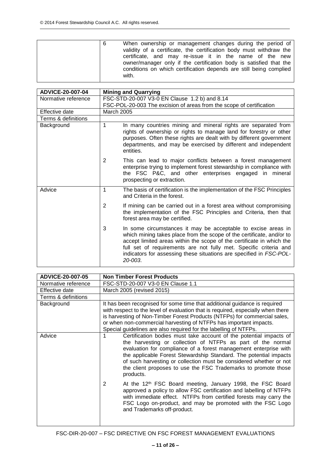| 6<br>conditions on which certification depends are still being complied | When ownership or management changes during the period of<br>validity of a certificate, the certification body must withdraw the<br>certificate, and may re-issue it in the name of the new<br>owner/manager only if the certification body is satisfied that the |
|-------------------------------------------------------------------------|-------------------------------------------------------------------------------------------------------------------------------------------------------------------------------------------------------------------------------------------------------------------|
|-------------------------------------------------------------------------|-------------------------------------------------------------------------------------------------------------------------------------------------------------------------------------------------------------------------------------------------------------------|

| ADVICE-20-007-04    | <b>Mining and Quarrying</b>                                                                                                                                                                                                                                                                                                                                                 |  |  |
|---------------------|-----------------------------------------------------------------------------------------------------------------------------------------------------------------------------------------------------------------------------------------------------------------------------------------------------------------------------------------------------------------------------|--|--|
| Normative reference | FSC-STD-20-007 V3-0 EN Clause 1.2 b) and 8.14                                                                                                                                                                                                                                                                                                                               |  |  |
|                     | FSC-POL-20-003 The excision of areas from the scope of certification                                                                                                                                                                                                                                                                                                        |  |  |
| Effective date      | March 2005                                                                                                                                                                                                                                                                                                                                                                  |  |  |
| Terms & definitions |                                                                                                                                                                                                                                                                                                                                                                             |  |  |
| Background          | 1<br>In many countries mining and mineral rights are separated from<br>rights of ownership or rights to manage land for forestry or other<br>purposes. Often these rights are dealt with by different government<br>departments, and may be exercised by different and independent<br>entities.                                                                             |  |  |
|                     | 2<br>This can lead to major conflicts between a forest management<br>enterprise trying to implement forest stewardship in compliance with<br>the FSC P&C, and other enterprises engaged in mineral<br>prospecting or extraction.                                                                                                                                            |  |  |
| Advice              | The basis of certification is the implementation of the FSC Principles<br>1<br>and Criteria in the forest.                                                                                                                                                                                                                                                                  |  |  |
|                     | 2<br>If mining can be carried out in a forest area without compromising<br>the implementation of the FSC Principles and Criteria, then that<br>forest area may be certified.                                                                                                                                                                                                |  |  |
|                     | 3<br>In some circumstances it may be acceptable to excise areas in<br>which mining takes place from the scope of the certificate, and/or to<br>accept limited areas within the scope of the certificate in which the<br>full set of requirements are not fully met. Specific criteria and<br>indicators for assessing these situations are specified in FSC-POL-<br>20-003. |  |  |

| ADVICE-20-007-05    | <b>Non Timber Forest Products</b>                                                                                                                                                                                                                                                                                                                                                                                               |
|---------------------|---------------------------------------------------------------------------------------------------------------------------------------------------------------------------------------------------------------------------------------------------------------------------------------------------------------------------------------------------------------------------------------------------------------------------------|
| Normative reference | FSC-STD-20-007 V3-0 EN Clause 1.1                                                                                                                                                                                                                                                                                                                                                                                               |
| Effective date      | March 2005 (revised 2015)                                                                                                                                                                                                                                                                                                                                                                                                       |
| Terms & definitions |                                                                                                                                                                                                                                                                                                                                                                                                                                 |
| Background          | It has been recognised for some time that additional guidance is required<br>with respect to the level of evaluation that is required, especially when there<br>is harvesting of Non-Timber Forest Products (NTFPs) for commercial sales,<br>or when non-commercial harvesting of NTFPs has important impacts.<br>Special guidelines are also required for the labelling of NTFPs.                                              |
| Advice              | Certification bodies must take account of the potential impacts of<br>the harvesting or collection of NTFPs as part of the normal<br>evaluation for compliance of a forest management enterprise with<br>the applicable Forest Stewardship Standard. The potential impacts<br>of such harvesting or collection must be considered whether or not<br>the client proposes to use the FSC Trademarks to promote those<br>products. |
|                     | At the 12 <sup>th</sup> FSC Board meeting, January 1998, the FSC Board<br>2<br>approved a policy to allow FSC certification and labelling of NTFPs<br>with immediate effect. NTFPs from certified forests may carry the<br>FSC Logo on-product, and may be promoted with the FSC Logo<br>and Trademarks off-product.                                                                                                            |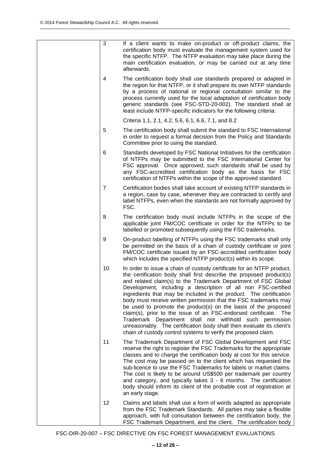| 3              | If a client wants to make on-product or off-product claims, the<br>certification body must evaluate the management system used for<br>the specific NTFP. The NTFP evaluation may take place during the<br>main certification evaluation, or may be carried out at any time<br>afterwards.                                                                                                                                                                                                                                                                                                                                                                                                                                                                             |
|----------------|-----------------------------------------------------------------------------------------------------------------------------------------------------------------------------------------------------------------------------------------------------------------------------------------------------------------------------------------------------------------------------------------------------------------------------------------------------------------------------------------------------------------------------------------------------------------------------------------------------------------------------------------------------------------------------------------------------------------------------------------------------------------------|
| 4              | The certification body shall use standards prepared or adapted in<br>the region for that NTFP, or it shall prepare its own NTFP standards<br>by a process of national or regional consultation similar to the<br>process currently used for the local adaptation of certification body<br>generic standards (see FSC-STD-20-002). The standard shall at<br>least include NTFP-specific indicators for the following criteria:                                                                                                                                                                                                                                                                                                                                         |
|                | Criteria 1.1, 2.1, 4.2, 5.6, 6.1, 6.6, 7.1, and 8.2                                                                                                                                                                                                                                                                                                                                                                                                                                                                                                                                                                                                                                                                                                                   |
| 5              | The certification body shall submit the standard to FSC International<br>in order to request a formal decision from the Policy and Standards<br>Committee prior to using the standard.                                                                                                                                                                                                                                                                                                                                                                                                                                                                                                                                                                                |
| 6              | Standards developed by FSC National Initiatives for the certification<br>of NTFPs may be submitted to the FSC International Center for<br>FSC approval. Once approved, such standards shall be used by<br>any FSC-accredited certification body as the basis for FSC<br>certification of NTFPs within the scope of the approved standard.                                                                                                                                                                                                                                                                                                                                                                                                                             |
| $\overline{7}$ | Certification bodies shall take account of existing NTFP standards in<br>a region, case by case, whenever they are contracted to certify and<br>label NTFPs, even when the standards are not formally approved by<br>FSC.                                                                                                                                                                                                                                                                                                                                                                                                                                                                                                                                             |
| 8              | The certification body must include NTFPs in the scope of the<br>applicable joint FM/COC certificate in order for the NTFPs to be<br>labelled or promoted subsequently using the FSC trademarks.                                                                                                                                                                                                                                                                                                                                                                                                                                                                                                                                                                      |
| 9              | On-product labelling of NTFPs using the FSC trademarks shall only<br>be permitted on the basis of a chain of custody certificate or joint<br>FM/COC certificate issued by an FSC-accredited certification body<br>which includes the specified NTFP product(s) within its scope.                                                                                                                                                                                                                                                                                                                                                                                                                                                                                      |
| 10             | In order to issue a chain of custody certificate for an NTFP product,<br>the certification body shall first describe the proposed product(s)<br>and related claim(s) to the Trademark Department of FSC Global<br>Development, including a description of all non FSC-certified<br>ingredients that may be included in the product. The certification<br>body must receive written permission that the FSC trademarks may<br>be used to promote the product(s) on the basis of the proposed<br>claim(s), prior to the issue of an FSC-endorsed certificate. The<br>Trademark Department shall not withhold such permission<br>unreasonably. The certification body shall then evaluate its client's<br>chain of custody control systems to verify the proposed claim. |
| 11             | The Trademark Department of FSC Global Development and FSC<br>reserve the right to register the FSC Trademarks for the appropriate<br>classes and to charge the certification body at cost for this service.<br>The cost may be passed on to the client which has requested the<br>sub-licence to use the FSC Trademarks for labels or market claims.<br>The cost is likely to be around US\$500 per trademark per country<br>and category, and typically takes 3 - 6 months. The certification<br>body should inform its client of the probable cost of registration at<br>an early stage.                                                                                                                                                                           |
| 12             | Claims and labels shall use a form of words adapted as appropriate<br>from the FSC Trademark Standards. All parties may take a flexible<br>approach, with full consultation between the certification body, the<br>FSC Trademark Department, and the client. The certification body                                                                                                                                                                                                                                                                                                                                                                                                                                                                                   |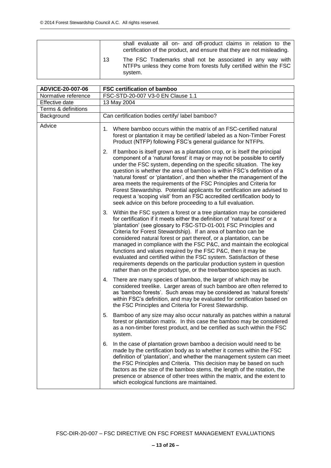|    | shall evaluate all on- and off-product claims in relation to the<br>certification of the product, and ensure that they are not misleading.  |
|----|---------------------------------------------------------------------------------------------------------------------------------------------|
| 13 | The FSC Trademarks shall not be associated in any way with<br>NTFPs unless they come from forests fully certified within the FSC<br>system. |

| ADVICE-20-007-06    | <b>FSC certification of bamboo</b>                                                                                                                                                                                                                                                                                                                                                                                                                                                                                                                                                                                                                                                                                                   |  |  |
|---------------------|--------------------------------------------------------------------------------------------------------------------------------------------------------------------------------------------------------------------------------------------------------------------------------------------------------------------------------------------------------------------------------------------------------------------------------------------------------------------------------------------------------------------------------------------------------------------------------------------------------------------------------------------------------------------------------------------------------------------------------------|--|--|
| Normative reference | FSC-STD-20-007 V3-0 EN Clause 1.1                                                                                                                                                                                                                                                                                                                                                                                                                                                                                                                                                                                                                                                                                                    |  |  |
| Effective date      | 13 May 2004                                                                                                                                                                                                                                                                                                                                                                                                                                                                                                                                                                                                                                                                                                                          |  |  |
| Terms & definitions |                                                                                                                                                                                                                                                                                                                                                                                                                                                                                                                                                                                                                                                                                                                                      |  |  |
| Background          | Can certification bodies certify/ label bamboo?                                                                                                                                                                                                                                                                                                                                                                                                                                                                                                                                                                                                                                                                                      |  |  |
| Advice              | Where bamboo occurs within the matrix of an FSC-certified natural<br>1.<br>forest or plantation it may be certified/ labeled as a Non-Timber Forest<br>Product (NTFP) following FSC's general guidance for NTFPs.                                                                                                                                                                                                                                                                                                                                                                                                                                                                                                                    |  |  |
|                     | If bamboo is itself grown as a plantation crop, or is itself the principal<br>2.<br>component of a 'natural forest' it may or may not be possible to certify<br>under the FSC system, depending on the specific situation. The key<br>question is whether the area of bamboo is within FSC's definition of a<br>'natural forest' or 'plantation', and then whether the management of the<br>area meets the requirements of the FSC Principles and Criteria for<br>Forest Stewardship. Potential applicants for certification are advised to<br>request a 'scoping visit' from an FSC accredited certification body to<br>seek advice on this before proceeding to a full evaluation.                                                 |  |  |
|                     | Within the FSC system a forest or a tree plantation may be considered<br>3.<br>for certification if it meets either the definition of 'natural forest' or a<br>'plantation' (see glossary to FSC-STD-01-001 FSC Principles and<br>Criteria for Forest Stewardship). If an area of bamboo can be<br>considered natural forest or part thereof, or a plantation, can be<br>managed in compliance with the FSC P&C, and maintain the ecological<br>functions and values required by the FSC P&C, then it may be<br>evaluated and certified within the FSC system. Satisfaction of these<br>requirements depends on the particular production system in question<br>rather than on the product type, or the tree/bamboo species as such. |  |  |
|                     | There are many species of bamboo, the larger of which may be<br>4.<br>considered treelike. Larger areas of such bamboo are often referred to<br>as 'bamboo forests'. Such areas may be considered as 'natural forests'<br>within FSC's definition, and may be evaluated for certification based on<br>the FSC Principles and Criteria for Forest Stewardship.                                                                                                                                                                                                                                                                                                                                                                        |  |  |
|                     | Bamboo of any size may also occur naturally as patches within a natural<br>5.<br>forest or plantation matrix. In this case the bamboo may be considered<br>as a non-timber forest product, and be certified as such within the FSC<br>system.                                                                                                                                                                                                                                                                                                                                                                                                                                                                                        |  |  |
|                     | In the case of plantation grown bamboo a decision would need to be<br>6.<br>made by the certification body as to whether it comes within the FSC<br>definition of 'plantation', and whether the management system can meet<br>the FSC Principles and Criteria. This decision may be based on such<br>factors as the size of the bamboo stems, the length of the rotation, the<br>presence or absence of other trees within the matrix, and the extent to<br>which ecological functions are maintained.                                                                                                                                                                                                                               |  |  |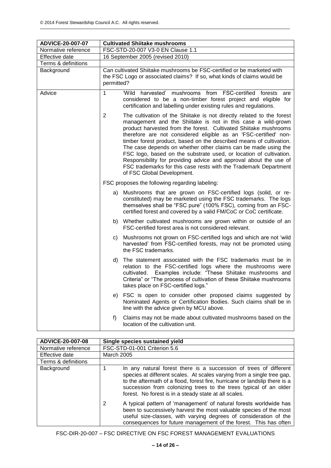| ADVICE-20-007-07    | <b>Cultivated Shiitake mushrooms</b>                                                                                                                                                                                                                                                                                                                                                                                                                                                                                                                                                                                                                                                  |
|---------------------|---------------------------------------------------------------------------------------------------------------------------------------------------------------------------------------------------------------------------------------------------------------------------------------------------------------------------------------------------------------------------------------------------------------------------------------------------------------------------------------------------------------------------------------------------------------------------------------------------------------------------------------------------------------------------------------|
| Normative reference | FSC-STD-20-007 V3-0 EN Clause 1.1                                                                                                                                                                                                                                                                                                                                                                                                                                                                                                                                                                                                                                                     |
| Effective date      | 16 September 2005 (revised 2010)                                                                                                                                                                                                                                                                                                                                                                                                                                                                                                                                                                                                                                                      |
| Terms & definitions |                                                                                                                                                                                                                                                                                                                                                                                                                                                                                                                                                                                                                                                                                       |
| Background          | Can cultivated Shiitake mushrooms be FSC-certified or be marketed with<br>the FSC Logo or associated claims? If so, what kinds of claims would be<br>permitted?                                                                                                                                                                                                                                                                                                                                                                                                                                                                                                                       |
| Advice              | mushrooms from FSC-certified forests<br>1<br>'Wild harvested'<br>are<br>considered to be a non-timber forest project and eligible for<br>certification and labelling under existing rules and regulations.                                                                                                                                                                                                                                                                                                                                                                                                                                                                            |
|                     | $\overline{2}$<br>The cultivation of the Shiitake is not directly related to the forest<br>management and the Shiitake is not in this case a wild-grown<br>product harvested from the forest. Cultivated Shiitake mushrooms<br>therefore are not considered eligible as an 'FSC-certified' non-<br>timber forest product, based on the described means of cultivation.<br>The case depends on whether other claims can be made using the<br>FSC logo, based on the substrate used, or location of cultivation.<br>Responsibility for providing advice and approval about the use of<br>FSC trademarks for this case rests with the Trademark Department<br>of FSC Global Development. |
|                     | FSC proposes the following regarding labeling:                                                                                                                                                                                                                                                                                                                                                                                                                                                                                                                                                                                                                                        |
|                     | a) Mushrooms that are grown on FSC-certified logs (solid, or re-<br>constituted) may be marketed using the FSC trademarks. The logs<br>themselves shall be "FSC pure" (100% FSC), coming from an FSC-<br>certified forest and covered by a valid FM/CoC or CoC certificate.                                                                                                                                                                                                                                                                                                                                                                                                           |
|                     | b) Whether cultivated mushrooms are grown within or outside of an<br>FSC-certified forest area is not considered relevant.                                                                                                                                                                                                                                                                                                                                                                                                                                                                                                                                                            |
|                     | c) Mushrooms not grown on FSC-certified logs and which are not 'wild<br>harvested' from FSC-certified forests, may not be promoted using<br>the FSC trademarks.                                                                                                                                                                                                                                                                                                                                                                                                                                                                                                                       |
|                     | The statement associated with the FSC trademarks must be in<br>d)<br>relation to the FSC-certified logs where the mushrooms were<br>Examples include: "These Shiitake mushrooms and<br>cultivated.<br>Criteria" or "The process of cultivation of these Shiitake mushrooms<br>takes place on FSC-certified logs."                                                                                                                                                                                                                                                                                                                                                                     |
|                     | e) FSC is open to consider other proposed claims suggested by<br>Nominated Agents or Certification Bodies. Such claims shall be in<br>line with the advice given by MCU above.                                                                                                                                                                                                                                                                                                                                                                                                                                                                                                        |
|                     | Claims may not be made about cultivated mushrooms based on the<br>f)<br>location of the cultivation unit.                                                                                                                                                                                                                                                                                                                                                                                                                                                                                                                                                                             |

| ADVICE-20-007-08    | Single species sustained yield                                                                                                                                                                                                                                                                                                                          |
|---------------------|---------------------------------------------------------------------------------------------------------------------------------------------------------------------------------------------------------------------------------------------------------------------------------------------------------------------------------------------------------|
| Normative reference | FSC-STD-01-001 Criterion 5.6                                                                                                                                                                                                                                                                                                                            |
| Effective date      | <b>March 2005</b>                                                                                                                                                                                                                                                                                                                                       |
| Terms & definitions |                                                                                                                                                                                                                                                                                                                                                         |
| Background          | In any natural forest there is a succession of trees of different<br>species at different scales. At scales varying from a single tree gap,<br>to the aftermath of a flood, forest fire, hurricane or landslip there is a<br>succession from colonizing trees to the trees typical of an older<br>forest. No forest is in a steady state at all scales. |
|                     | A typical pattern of 'management' of natural forests worldwide has<br>2<br>been to successively harvest the most valuable species of the most<br>useful size-classes, with varying degrees of consideration of the<br>consequences for future management of the forest. This has often                                                                  |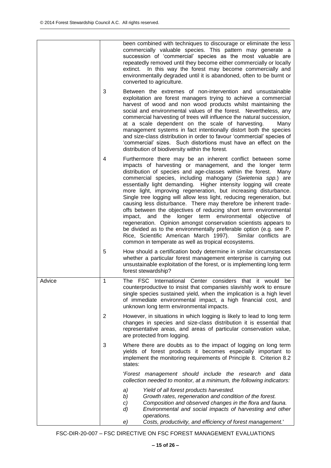|        |                | been combined with techniques to discourage or eliminate the less<br>commercially valuable species. This pattern may generate a<br>succession of 'commercial' species as the most valuable are<br>repeatedly removed until they become either commercially or locally<br>extinct. In this way the forest may become commercially and<br>environmentally degraded until it is abandoned, often to be burnt or<br>converted to agriculture.                                                                                                                                                                                                                                                                                                                                                                                                                                                                                                        |
|--------|----------------|--------------------------------------------------------------------------------------------------------------------------------------------------------------------------------------------------------------------------------------------------------------------------------------------------------------------------------------------------------------------------------------------------------------------------------------------------------------------------------------------------------------------------------------------------------------------------------------------------------------------------------------------------------------------------------------------------------------------------------------------------------------------------------------------------------------------------------------------------------------------------------------------------------------------------------------------------|
|        | 3              | Between the extremes of non-intervention and unsustainable<br>exploitation are forest managers trying to achieve a commercial<br>harvest of wood and non wood products whilst maintaining the<br>social and environmental values of the forest. Nevertheless, any<br>commercial harvesting of trees will influence the natural succession,<br>at a scale dependent on the scale of harvesting.<br>Many<br>management systems in fact intentionally distort both the species<br>and size-class distribution in order to favour 'commercial' species of<br>'commercial' sizes. Such distortions must have an effect on the<br>distribution of biodiversity within the forest.                                                                                                                                                                                                                                                                      |
|        | 4              | Furthermore there may be an inherent conflict between some<br>impacts of harvesting or management, and the longer term<br>distribution of species and age-classes within the forest.<br>Many<br>commercial species, including mahogany (Swietenia spp.) are<br>essentially light demanding. Higher intensity logging will create<br>more light, improving regeneration, but increasing disturbance.<br>Single tree logging will allow less light, reducing regeneration, but<br>causing less disturbance. There may therefore be inherent trade-<br>offs between the objectives of reducing short term environmental<br>impact, and the longer term environmental objective of<br>regeneration. Opinion amongst conservation scientists appears to<br>be divided as to the environmentally preferable option (e.g. see P.<br>Rice, Scientific American March 1997). Similar conflicts are<br>common in temperate as well as tropical ecosystems. |
|        | 5              | How should a certification body determine in similar circumstances<br>whether a particular forest management enterprise is carrying out<br>unsustainable exploitation of the forest, or is implementing long term<br>forest stewardship?                                                                                                                                                                                                                                                                                                                                                                                                                                                                                                                                                                                                                                                                                                         |
| Advice | 1              | The FSC International Center considers that it would<br>be<br>counterproductive to insist that companies slavishly work to ensure<br>single species sustained yield, when the implication is a high level<br>of immediate environmental impact, a high financial cost, and<br>unknown long term environmental impacts.                                                                                                                                                                                                                                                                                                                                                                                                                                                                                                                                                                                                                           |
|        | $\overline{2}$ | However, in situations in which logging is likely to lead to long term<br>changes in species and size-class distribution it is essential that<br>representative areas, and areas of particular conservation value,<br>are protected from logging.                                                                                                                                                                                                                                                                                                                                                                                                                                                                                                                                                                                                                                                                                                |
|        | 3              | Where there are doubts as to the impact of logging on long term<br>yields of forest products it becomes especially important to<br>implement the monitoring requirements of Principle 8. Criterion 8.2<br>states:                                                                                                                                                                                                                                                                                                                                                                                                                                                                                                                                                                                                                                                                                                                                |
|        |                | 'Forest management should include the research and data<br>collection needed to monitor, at a minimum, the following indicators:                                                                                                                                                                                                                                                                                                                                                                                                                                                                                                                                                                                                                                                                                                                                                                                                                 |
|        |                | a)<br>Yield of all forest products harvested.<br>b)<br>Growth rates, regeneration and condition of the forest.<br>Composition and observed changes in the flora and fauna.<br>C)<br>Environmental and social impacts of harvesting and other<br>d)<br>operations.                                                                                                                                                                                                                                                                                                                                                                                                                                                                                                                                                                                                                                                                                |
|        |                | Costs, productivity, and efficiency of forest management.'<br>e)                                                                                                                                                                                                                                                                                                                                                                                                                                                                                                                                                                                                                                                                                                                                                                                                                                                                                 |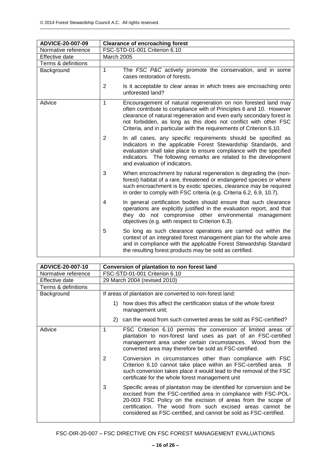| ADVICE-20-007-09    | <b>Clearance of encroaching forest</b>                                                                                                                                                                                                                                                                                                                                   |
|---------------------|--------------------------------------------------------------------------------------------------------------------------------------------------------------------------------------------------------------------------------------------------------------------------------------------------------------------------------------------------------------------------|
| Normative reference | FSC-STD-01-001 Criterion 6.10                                                                                                                                                                                                                                                                                                                                            |
| Effective date      | March 2005                                                                                                                                                                                                                                                                                                                                                               |
| Terms & definitions |                                                                                                                                                                                                                                                                                                                                                                          |
| Background          | $\mathbf 1$<br>The FSC P&C actively promote the conservation, and in some<br>cases restoration of forests.                                                                                                                                                                                                                                                               |
|                     | 2<br>Is it acceptable to clear areas in which trees are encroaching onto<br>unforested land?                                                                                                                                                                                                                                                                             |
| Advice              | $\mathbf{1}$<br>Encouragement of natural regeneration on non forested land may<br>often contribute to compliance with of Principles 6 and 10. However<br>clearance of natural regeneration and even early secondary forest is<br>not forbidden, as long as this does not conflict with other FSC<br>Criteria, and in particular with the requirements of Criterion 6.10. |
|                     | 2<br>In all cases, any specific requirements should be specified as<br>Indicators in the applicable Forest Stewardship Standards, and<br>evaluation shall take place to ensure compliance with the specified<br>indicators. The following remarks are related to the development<br>and evaluation of indicators.                                                        |
|                     | 3<br>When encroachment by natural regeneration is degrading the (non-<br>forest) habitat of a rare, threatened or endangered species or where<br>such encroachment is by exotic species, clearance may be required<br>in order to comply with FSC criteria (e.g. Criteria 6.2, 6.9, 10.7).                                                                               |
|                     | In general certification bodies should ensure that such clearance<br>4<br>operations are explicitly justified in the evaluation report, and that<br>they do not compromise other environmental management<br>objectives (e.g. with respect to Criterion 6.3).                                                                                                            |
|                     | 5<br>So long as such clearance operations are carried out within the<br>context of an integrated forest management plan for the whole area<br>and in compliance with the applicable Forest Stewardship Standard<br>the resulting forest products may be sold as certified.                                                                                               |

| ADVICE-20-007-10    | Conversion of plantation to non forest land                                                                                                                                                                                                                                                                                                    |
|---------------------|------------------------------------------------------------------------------------------------------------------------------------------------------------------------------------------------------------------------------------------------------------------------------------------------------------------------------------------------|
| Normative reference | FSC-STD-01-001 Criterion 6.10                                                                                                                                                                                                                                                                                                                  |
| Effective date      | 29 March 2004 (revised 2010)                                                                                                                                                                                                                                                                                                                   |
| Terms & definitions |                                                                                                                                                                                                                                                                                                                                                |
| Background          | If areas of plantation are converted to non-forest land:                                                                                                                                                                                                                                                                                       |
|                     | how does this affect the certification status of the whole forest<br>1)<br>management unit;                                                                                                                                                                                                                                                    |
|                     | can the wood from such converted areas be sold as FSC-certified?<br>(2)                                                                                                                                                                                                                                                                        |
| Advice              | FSC Criterion 6.10 permits the conversion of limited areas of<br>1<br>plantation to non-forest land uses as part of an FSC-certified<br>management area under certain circumstances. Wood from the<br>converted area may therefore be sold as FSC-certified.                                                                                   |
|                     | 2<br>Conversion in circumstances other than compliance with FSC<br>Criterion 6.10 cannot take place within an FSC-certified area. If<br>such conversion takes place it would lead to the removal of the FSC<br>certificate for the whole forest management unit                                                                                |
|                     | 3<br>Specific areas of plantation may be identified for conversion and be<br>excised from the FSC-certified area in compliance with FSC-POL-<br>20-003 FSC Policy on the excision of areas from the scope of<br>certification. The wood from such excised areas cannot be<br>considered as FSC-certified, and cannot be sold as FSC-certified. |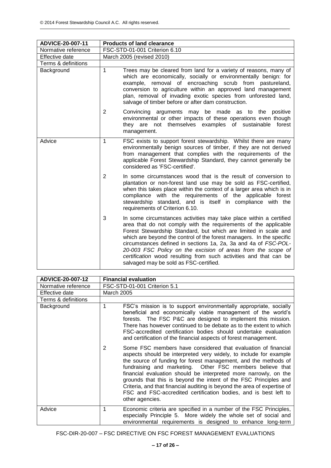| ADVICE-20-007-11    | <b>Products of land clearance</b>                                                                                                                                                                                                                                                                                                                                                                                                                                                                                                       |
|---------------------|-----------------------------------------------------------------------------------------------------------------------------------------------------------------------------------------------------------------------------------------------------------------------------------------------------------------------------------------------------------------------------------------------------------------------------------------------------------------------------------------------------------------------------------------|
| Normative reference | FSC-STD-01-001 Criterion 6.10                                                                                                                                                                                                                                                                                                                                                                                                                                                                                                           |
| Effective date      | March 2005 (revised 2010)                                                                                                                                                                                                                                                                                                                                                                                                                                                                                                               |
| Terms & definitions |                                                                                                                                                                                                                                                                                                                                                                                                                                                                                                                                         |
| Background          | $\mathbf{1}$<br>Trees may be cleared from land for a variety of reasons, many of<br>which are economically, socially or environmentally benign: for<br>removal of encroaching scrub from pastureland,<br>example.<br>conversion to agriculture within an approved land management<br>plan, removal of invading exotic species from unforested land,<br>salvage of timber before or after dam construction.                                                                                                                              |
|                     | $\overline{2}$<br>Convincing arguments may be made as to the positive<br>environmental or other impacts of these operations even though<br>they are not themselves examples of sustainable forest<br>management.                                                                                                                                                                                                                                                                                                                        |
| Advice              | $\mathbf{1}$<br>FSC exists to support forest stewardship. Whilst there are many<br>environmentally benign sources of timber, if they are not derived<br>from management that complies with the requirements of the<br>applicable Forest Stewardship Standard, they cannot generally be<br>considered as 'FSC-certified'.                                                                                                                                                                                                                |
|                     | 2<br>In some circumstances wood that is the result of conversion to<br>plantation or non-forest land use may be sold as FSC-certified,<br>when this takes place within the context of a larger area which is in<br>compliance with the requirements of the applicable forest<br>stewardship standard, and is itself in compliance with the<br>requirements of Criterion 6.10.                                                                                                                                                           |
|                     | 3<br>In some circumstances activities may take place within a certified<br>area that do not comply with the requirements of the applicable<br>Forest Stewardship Standard, but which are limited in scale and<br>which are beyond the control of the forest managers. In the specific<br>circumstances defined in sections 1a, 2a, 3a and 4a of FSC-POL-<br>20-003 FSC Policy on the excision of areas from the scope of<br>certification wood resulting from such activities and that can be<br>salvaged may be sold as FSC-certified. |

| ADVICE-20-007-12    | <b>Financial evaluation</b>                                                                                                                                                                                                                                                                                                                                                                                                                                                                                                                                                        |
|---------------------|------------------------------------------------------------------------------------------------------------------------------------------------------------------------------------------------------------------------------------------------------------------------------------------------------------------------------------------------------------------------------------------------------------------------------------------------------------------------------------------------------------------------------------------------------------------------------------|
| Normative reference | FSC-STD-01-001 Criterion 5.1                                                                                                                                                                                                                                                                                                                                                                                                                                                                                                                                                       |
| Effective date      | <b>March 2005</b>                                                                                                                                                                                                                                                                                                                                                                                                                                                                                                                                                                  |
| Terms & definitions |                                                                                                                                                                                                                                                                                                                                                                                                                                                                                                                                                                                    |
| Background          | 1<br>FSC's mission is to support environmentally appropriate, socially<br>beneficial and economically viable management of the world's<br>forests. The FSC P&C are designed to implement this mission.<br>There has however continued to be debate as to the extent to which<br>FSC-accredited certification bodies should undertake evaluation<br>and certification of the financial aspects of forest management.                                                                                                                                                                |
|                     | Some FSC members have considered that evaluation of financial<br>2<br>aspects should be interpreted very widely, to include for example<br>the source of funding for forest management, and the methods of<br>fundraising and marketing. Other FSC members believe that<br>financial evaluation should be interpreted more narrowly, on the<br>grounds that this is beyond the intent of the FSC Principles and<br>Criteria, and that financial auditing is beyond the area of expertise of<br>FSC and FSC-accredited certification bodies, and is best left to<br>other agencies. |
| Advice              | Economic criteria are specified in a number of the FSC Principles,<br>1<br>especially Principle 5. More widely the whole set of social and<br>environmental requirements is designed to enhance long-term                                                                                                                                                                                                                                                                                                                                                                          |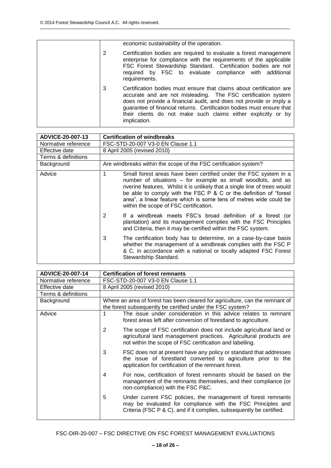|                | economic sustainability of the operation.                                                                                                                                                                                                                                                                                                                              |
|----------------|------------------------------------------------------------------------------------------------------------------------------------------------------------------------------------------------------------------------------------------------------------------------------------------------------------------------------------------------------------------------|
| $\overline{2}$ | Certification bodies are required to evaluate a forest management<br>enterprise for compliance with the requirements of the applicable<br>FSC Forest Stewardship Standard. Certification bodies are not<br>required by FSC to evaluate compliance with additional<br>requirements.                                                                                     |
| 3              | Certification bodies must ensure that claims about certification are<br>accurate and are not misleading. The FSC certification system<br>does not provide a financial audit, and does not provide or imply a<br>guarantee of financial returns. Certification bodies must ensure that<br>their clients do not make such claims either explicitly or by<br>implication. |

| ADVICE-20-007-13    | <b>Certification of windbreaks</b>                                                                                                                                                                                                                                                                                                                                                                  |
|---------------------|-----------------------------------------------------------------------------------------------------------------------------------------------------------------------------------------------------------------------------------------------------------------------------------------------------------------------------------------------------------------------------------------------------|
| Normative reference | FSC-STD-20-007 V3-0 EN Clause 1.1                                                                                                                                                                                                                                                                                                                                                                   |
| Effective date      | 8 April 2005 (revised 2010)                                                                                                                                                                                                                                                                                                                                                                         |
| Terms & definitions |                                                                                                                                                                                                                                                                                                                                                                                                     |
| Background          | Are windbreaks within the scope of the FSC certification system?                                                                                                                                                                                                                                                                                                                                    |
| Advice              | Small forest areas have been certified under the FSC system in a<br>number of situations - for example as small woodlots, and as<br>riverine features. Whilst it is unlikely that a single line of trees would<br>be able to comply with the FSC P & C or the definition of "forest<br>area", a linear feature which is some tens of metres wide could be<br>within the scope of FSC certification. |
|                     | 2<br>If a windbreak meets FSC's broad definition of a forest (or<br>plantation) and its management complies with the FSC Principles<br>and Criteria, then it may be certified within the FSC system.                                                                                                                                                                                                |
|                     | 3<br>The certification body has to determine, on a case-by-case basis<br>whether the management of a windbreak complies with the FSC P<br>& C, in accordance with a national or locally adapted FSC Forest<br>Stewardship Standard.                                                                                                                                                                 |

| ADVICE-20-007-14    | <b>Certification of forest remnants</b>                                                                                                                                                                    |
|---------------------|------------------------------------------------------------------------------------------------------------------------------------------------------------------------------------------------------------|
| Normative reference | FSC-STD-20-007 V3-0 EN Clause 1.1                                                                                                                                                                          |
| Effective date      | 8 April 2005 (revised 2010)                                                                                                                                                                                |
| Terms & definitions |                                                                                                                                                                                                            |
| Background          | Where an area of forest has been cleared for agriculture, can the remnant of<br>the forest subsequently be certified under the FSC system?                                                                 |
| Advice              | The issue under consideration in this advice relates to remnant<br>1<br>forest areas left after conversion of forestland to agriculture.                                                                   |
|                     | 2<br>The scope of FSC certification does not include agricultural land or<br>agricultural land management practices. Agricultural products are<br>not within the scope of FSC certification and labelling. |
|                     | 3<br>FSC does not at present have any policy or standard that addresses<br>the issue of forestland converted to agriculture prior to the<br>application for certification of the remnant forest.           |
|                     | For now, certification of forest remnants should be based on the<br>4<br>management of the remnants themselves, and their compliance (or<br>non-compliance) with the FSC P&C.                              |
|                     | 5<br>Under current FSC policies, the management of forest remnants<br>may be evaluated for compliance with the FSC Principles and<br>Criteria (FSC P & C), and if it complies, subsequently be certified.  |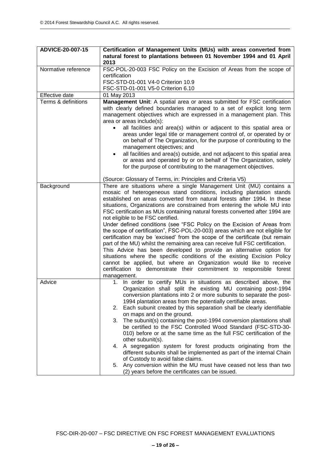| ADVICE-20-007-15                      | Certification of Management Units (MUs) with areas converted from                                                                                                                                                                                                                                                                                                                                                                                                                                                                                                                                                                                                                                                                                                                                                                                                                                                                                                                                                                                                      |
|---------------------------------------|------------------------------------------------------------------------------------------------------------------------------------------------------------------------------------------------------------------------------------------------------------------------------------------------------------------------------------------------------------------------------------------------------------------------------------------------------------------------------------------------------------------------------------------------------------------------------------------------------------------------------------------------------------------------------------------------------------------------------------------------------------------------------------------------------------------------------------------------------------------------------------------------------------------------------------------------------------------------------------------------------------------------------------------------------------------------|
|                                       | natural forest to plantations between 01 November 1994 and 01 April<br>2013                                                                                                                                                                                                                                                                                                                                                                                                                                                                                                                                                                                                                                                                                                                                                                                                                                                                                                                                                                                            |
| Normative reference                   | FSC-POL-20-003 FSC Policy on the Excision of Areas from the scope of                                                                                                                                                                                                                                                                                                                                                                                                                                                                                                                                                                                                                                                                                                                                                                                                                                                                                                                                                                                                   |
|                                       | certification                                                                                                                                                                                                                                                                                                                                                                                                                                                                                                                                                                                                                                                                                                                                                                                                                                                                                                                                                                                                                                                          |
|                                       | FSC-STD-01-001 V4-0 Criterion 10.9                                                                                                                                                                                                                                                                                                                                                                                                                                                                                                                                                                                                                                                                                                                                                                                                                                                                                                                                                                                                                                     |
|                                       | FSC-STD-01-001 V5-0 Criterion 6.10                                                                                                                                                                                                                                                                                                                                                                                                                                                                                                                                                                                                                                                                                                                                                                                                                                                                                                                                                                                                                                     |
| Effective date<br>Terms & definitions | 01 May 2013<br>Management Unit: A spatial area or areas submitted for FSC certification                                                                                                                                                                                                                                                                                                                                                                                                                                                                                                                                                                                                                                                                                                                                                                                                                                                                                                                                                                                |
|                                       | with clearly defined boundaries managed to a set of explicit long term<br>management objectives which are expressed in a management plan. This<br>area or areas include(s):                                                                                                                                                                                                                                                                                                                                                                                                                                                                                                                                                                                                                                                                                                                                                                                                                                                                                            |
|                                       | all facilities and area(s) within or adjacent to this spatial area or<br>areas under legal title or management control of, or operated by or<br>on behalf of The Organization, for the purpose of contributing to the<br>management objectives; and                                                                                                                                                                                                                                                                                                                                                                                                                                                                                                                                                                                                                                                                                                                                                                                                                    |
|                                       | all facilities and area(s) outside, and not adjacent to this spatial area<br>$\bullet$<br>or areas and operated by or on behalf of The Organization, solely<br>for the purpose of contributing to the management objectives.                                                                                                                                                                                                                                                                                                                                                                                                                                                                                                                                                                                                                                                                                                                                                                                                                                           |
|                                       | (Source: Glossary of Terms, in: Principles and Criteria V5)                                                                                                                                                                                                                                                                                                                                                                                                                                                                                                                                                                                                                                                                                                                                                                                                                                                                                                                                                                                                            |
| Background                            | There are situations where a single Management Unit (MU) contains a<br>mosaic of heterogeneous stand conditions, including plantation stands<br>established on areas converted from natural forests after 1994. In these<br>situations, Organizations are constrained from entering the whole MU into<br>FSC certification as MUs containing natural forests converted after 1994 are<br>not eligible to be FSC certified.<br>Under defined conditions (see "FSC Policy on the Excision of Areas from<br>the scope of certification", FSC-POL-20-003) areas which are not eligible for<br>certification may be 'excised' from the scope of the certificate (but remain<br>part of the MU) whilst the remaining area can receive full FSC certification.<br>This Advice has been developed to provide an alternative option for<br>situations where the specific conditions of the existing Excision Policy<br>cannot be applied, but where an Organization would like to receive<br>certification to demonstrate their commitment to responsible forest<br>management. |
| Advice                                | 1. In order to certify MUs in situations as described above, the<br>Organization shall split the existing MU containing post-1994<br>conversion plantations into 2 or more subunits to separate the post-<br>1994 plantation areas from the potentially certifiable areas.<br>Each subunit created by this separation shall be clearly identifiable<br>2.<br>on maps and on the ground.<br>The subunit(s) containing the post-1994 conversion plantations shall<br>3.<br>be certified to the FSC Controlled Wood Standard (FSC-STD-30-<br>010) before or at the same time as the full FSC certification of the<br>other subunit(s).<br>A segregation system for forest products originating from the<br>4.<br>different subunits shall be implemented as part of the internal Chain<br>of Custody to avoid false claims.<br>5. Any conversion within the MU must have ceased not less than two<br>(2) years before the certificates can be issued.                                                                                                                     |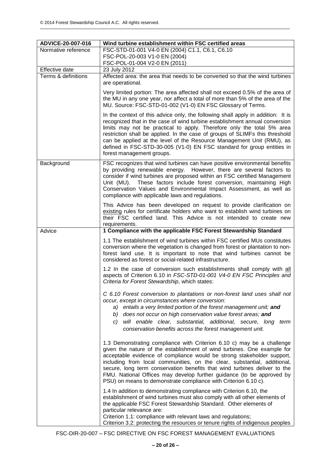| ADVICE-20-007-016   | Wind turbine establishment within FSC certified areas                                                                                                                                                                                                                                                                                                                                                                                                                                                                            |
|---------------------|----------------------------------------------------------------------------------------------------------------------------------------------------------------------------------------------------------------------------------------------------------------------------------------------------------------------------------------------------------------------------------------------------------------------------------------------------------------------------------------------------------------------------------|
| Normative reference | FSC-STD-01-001 V4-0 EN (2004) C1.1, C6.1, C6.10                                                                                                                                                                                                                                                                                                                                                                                                                                                                                  |
|                     | FSC-POL-20-003 V1-0 EN (2004)                                                                                                                                                                                                                                                                                                                                                                                                                                                                                                    |
| Effective date      | FSC-POL-01-004 V2-0 EN (2011)<br>23 July 2012                                                                                                                                                                                                                                                                                                                                                                                                                                                                                    |
| Terms & definitions | Affected area: the area that needs to be converted so that the wind turbines                                                                                                                                                                                                                                                                                                                                                                                                                                                     |
|                     | are operational.                                                                                                                                                                                                                                                                                                                                                                                                                                                                                                                 |
|                     | Very limited portion: The area affected shall not exceed 0.5% of the area of<br>the MU in any one year, nor affect a total of more than 5% of the area of the<br>MU. Source: FSC-STD-01-002 (V1-0) EN FSC Glossary of Terms.                                                                                                                                                                                                                                                                                                     |
|                     | In the context of this advice only, the following shall apply in addition: It is<br>recognized that in the case of wind turbine establishment annual conversion<br>limits may not be practical to apply. Therefore only the total 5% area<br>restriction shall be applied. In the case of groups of SLIMFs this threshold<br>can be applied at the level of the Resource Management Unit (RMU), as<br>defined in FSC-STD-30-005 (V1-0) EN FSC standard for group entities in<br>forest management groups.                        |
| Background          | FSC recognizes that wind turbines can have positive environmental benefits<br>by providing renewable energy. However, there are several factors to<br>consider if wind turbines are proposed within an FSC certified Management<br>Unit (MU). These factors include forest conversion, maintaining High<br>Conservation Values and Environmental Impact Assessment, as well as<br>compliance with applicable laws and regulations.                                                                                               |
|                     | This Advice has been developed on request to provide clarification on<br>existing rules for certificate holders who want to establish wind turbines on<br>their FSC certified land. This Advice is not intended to create new<br>requirements.                                                                                                                                                                                                                                                                                   |
| Advice              | 1 Compliance with the applicable FSC Forest Stewardship Standard                                                                                                                                                                                                                                                                                                                                                                                                                                                                 |
|                     | 1.1 The establishment of wind turbines within FSC certified MUs constitutes<br>conversion where the vegetation is changed from forest or plantation to non-<br>forest land use. It is important to note that wind turbines cannot be<br>considered as forest or social-related infrastructure.                                                                                                                                                                                                                                   |
|                     | 1.2 In the case of conversion such establishments shall comply with all<br>aspects of Criterion 6.10 in FSC-STD-01-001 V4-0 EN FSC Principles and<br>Criteria for Forest Stewardship, which states:                                                                                                                                                                                                                                                                                                                              |
|                     | C 6.10 Forest conversion to plantations or non-forest land uses shall not<br>occur, except in circumstances where conversion:<br>a) entails a very limited portion of the forest management unit; and<br>b) does not occur on high conservation value forest areas; and<br>c) will enable clear, substantial, additional, secure, long<br>term<br>conservation benefits across the forest management unit.                                                                                                                       |
|                     | 1.3 Demonstrating compliance with Criterion 6.10 c) may be a challenge<br>given the nature of the establishment of wind turbines. One example for<br>acceptable evidence of compliance would be strong stakeholder support,<br>including from local communities, on the clear, substantial, additional,<br>secure, long term conservation benefits that wind turbines deliver to the<br>FMU. National Offices may develop further guidance (to be approved by<br>PSU) on means to demonstrate compliance with Criterion 6.10 c). |
|                     | 1.4 In addition to demonstrating compliance with Criterion 6.10, the<br>establishment of wind turbines must also comply with all other elements of<br>the applicable FSC Forest Stewardship Standard. Other elements of<br>particular relevance are:<br>Criterion 1.1: compliance with relevant laws and regulations;<br>Criterion 3.2: protecting the resources or tenure rights of indigenous peoples                                                                                                                          |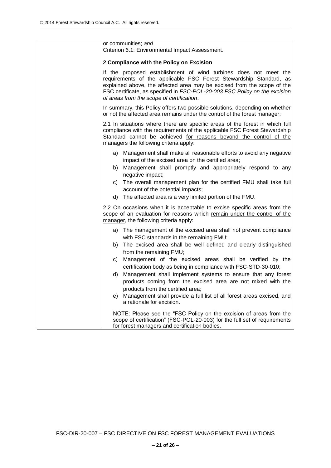| or communities; and<br>Criterion 6.1: Environmental Impact Assessment.                                                                                                                                                                                                                                                                                                                                                                                                                                                                                                                                                                                                                                            |
|-------------------------------------------------------------------------------------------------------------------------------------------------------------------------------------------------------------------------------------------------------------------------------------------------------------------------------------------------------------------------------------------------------------------------------------------------------------------------------------------------------------------------------------------------------------------------------------------------------------------------------------------------------------------------------------------------------------------|
| 2 Compliance with the Policy on Excision                                                                                                                                                                                                                                                                                                                                                                                                                                                                                                                                                                                                                                                                          |
| If the proposed establishment of wind turbines does not meet the<br>requirements of the applicable FSC Forest Stewardship Standard, as<br>explained above, the affected area may be excised from the scope of the<br>FSC certificate, as specified in FSC-POL-20-003 FSC Policy on the excision<br>of areas from the scope of certification.                                                                                                                                                                                                                                                                                                                                                                      |
| In summary, this Policy offers two possible solutions, depending on whether<br>or not the affected area remains under the control of the forest manager:                                                                                                                                                                                                                                                                                                                                                                                                                                                                                                                                                          |
| 2.1 In situations where there are specific areas of the forest in which full<br>compliance with the requirements of the applicable FSC Forest Stewardship<br>Standard cannot be achieved for reasons beyond the control of the<br>managers the following criteria apply:                                                                                                                                                                                                                                                                                                                                                                                                                                          |
| a) Management shall make all reasonable efforts to avoid any negative<br>impact of the excised area on the certified area;<br>b) Management shall promptly and appropriately respond to any<br>negative impact;<br>The overall management plan for the certified FMU shall take full<br>C)<br>account of the potential impacts;<br>The affected area is a very limited portion of the FMU.<br>d)                                                                                                                                                                                                                                                                                                                  |
| 2.2 On occasions when it is acceptable to excise specific areas from the<br>scope of an evaluation for reasons which remain under the control of the<br>manager, the following criteria apply:                                                                                                                                                                                                                                                                                                                                                                                                                                                                                                                    |
| a) The management of the excised area shall not prevent compliance<br>with FSC standards in the remaining FMU;<br>b) The excised area shall be well defined and clearly distinguished<br>from the remaining FMU;<br>Management of the excised areas shall be verified by the<br>C)<br>certification body as being in compliance with FSC-STD-30-010;<br>Management shall implement systems to ensure that any forest<br>d)<br>products coming from the excised area are not mixed with the<br>products from the certified area;<br>Management shall provide a full list of all forest areas excised, and<br>e)<br>a rationale for excision.<br>NOTE: Please see the "FSC Policy on the excision of areas from the |
| scope of certification" (FSC-POL-20-003) for the full set of requirements<br>for forest managers and certification bodies.                                                                                                                                                                                                                                                                                                                                                                                                                                                                                                                                                                                        |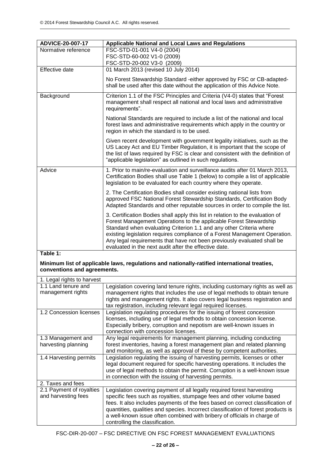| ADVICE-20-007-17            | <b>Applicable National and Local Laws and Regulations</b>                                                                                                                                                                                                                                                                                                                                                                                    |
|-----------------------------|----------------------------------------------------------------------------------------------------------------------------------------------------------------------------------------------------------------------------------------------------------------------------------------------------------------------------------------------------------------------------------------------------------------------------------------------|
| Normative reference         | FSC-STD-01-001 V4-0 (2004)                                                                                                                                                                                                                                                                                                                                                                                                                   |
|                             | FSC-STD-60-002 V1-0 (2009)<br>FSC-STD-20-002 V3-0 (2009)                                                                                                                                                                                                                                                                                                                                                                                     |
| Effective date              | 01 March 2013 (revised 10 July 2014)                                                                                                                                                                                                                                                                                                                                                                                                         |
|                             |                                                                                                                                                                                                                                                                                                                                                                                                                                              |
|                             | No Forest Stewardship Standard - either approved by FSC or CB-adapted-<br>shall be used after this date without the application of this Advice Note.                                                                                                                                                                                                                                                                                         |
| Background                  | Criterion 1.1 of the FSC Principles and Criteria (V4-0) states that "Forest<br>management shall respect all national and local laws and administrative<br>requirements".                                                                                                                                                                                                                                                                     |
|                             | National Standards are required to include a list of the national and local<br>forest laws and administrative requirements which apply in the country or<br>region in which the standard is to be used.                                                                                                                                                                                                                                      |
|                             | Given recent development with government legality initiatives, such as the<br>US Lacey Act and EU Timber Regulation, it is important that the scope of<br>the list of laws required by FSC is clear and consistent with the definition of<br>"applicable legislation" as outlined in such regulations.                                                                                                                                       |
| Advice                      | 1. Prior to main/re-evaluation and surveillance audits after 01 March 2013,<br>Certification Bodies shall use Table 1 (below) to compile a list of applicable<br>legislation to be evaluated for each country where they operate.                                                                                                                                                                                                            |
|                             | 2. The Certification Bodies shall consider existing national lists from<br>approved FSC National Forest Stewardship Standards, Certification Body<br>Adapted Standards and other reputable sources in order to compile the list.                                                                                                                                                                                                             |
|                             | 3. Certification Bodies shall apply this list in relation to the evaluation of<br>Forest Management Operations to the applicable Forest Stewardship<br>Standard when evaluating Criterion 1.1 and any other Criteria where<br>existing legislation requires compliance of a Forest Management Operation.<br>Any legal requirements that have not been previously evaluated shall be<br>evaluated in the next audit after the effective date. |
| Table 1:                    |                                                                                                                                                                                                                                                                                                                                                                                                                                              |
| conventions and agreements. | Minimum list of applicable laws, regulations and nationally-ratified international treaties,                                                                                                                                                                                                                                                                                                                                                 |

| 1. Legal rights to harvest |                                                                                   |
|----------------------------|-----------------------------------------------------------------------------------|
| 1.1 Land tenure and        | Legislation covering land tenure rights, including customary rights as well as    |
| management rights          | management rights that includes the use of legal methods to obtain tenure         |
|                            | rights and management rights. It also covers legal business registration and      |
|                            | tax registration, including relevant legal required licenses.                     |
| 1.2 Concession licenses    | Legislation regulating procedures for the issuing of forest concession            |
|                            | licenses, including use of legal methods to obtain concession license.            |
|                            | Especially bribery, corruption and nepotism are well-known issues in              |
|                            | connection with concession licenses.                                              |
| 1.3 Management and         | Any legal requirements for management planning, including conducting              |
| harvesting planning        | forest inventories, having a forest management plan and related planning          |
|                            | and monitoring, as well as approval of these by competent authorities.            |
| 1.4 Harvesting permits     | Legislation regulating the issuing of harvesting permits, licenses or other       |
|                            | legal document required for specific harvesting operations. It includes the       |
|                            | use of legal methods to obtain the permit. Corruption is a well-known issue       |
|                            | in connection with the issuing of harvesting permits.                             |
| 2. Taxes and fees          |                                                                                   |
| 2.1 Payment of royalties   | Legislation covering payment of all legally required forest harvesting            |
| and harvesting fees        | specific fees such as royalties, stumpage fees and other volume based             |
|                            | fees. It also includes payments of the fees based on correct classification of    |
|                            | quantities, qualities and species. Incorrect classification of forest products is |
|                            | a well-known issue often combined with bribery of officials in charge of          |
|                            | controlling the classification.                                                   |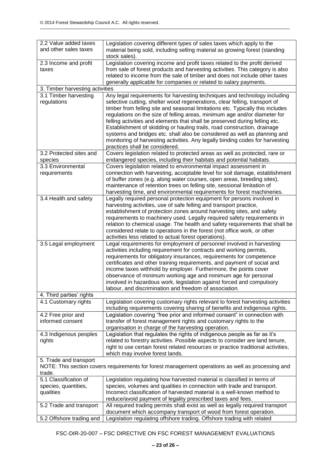| 2.2 Value added taxes<br>and other sales taxes                                                                                        | Legislation covering different types of sales taxes which apply to the<br>material being sold, including selling material as growing forest (standing<br>stock sales).                                                                                                                                                                                                                                                                                                                                                                                                                                                                                                            |
|---------------------------------------------------------------------------------------------------------------------------------------|-----------------------------------------------------------------------------------------------------------------------------------------------------------------------------------------------------------------------------------------------------------------------------------------------------------------------------------------------------------------------------------------------------------------------------------------------------------------------------------------------------------------------------------------------------------------------------------------------------------------------------------------------------------------------------------|
| 2.3 Income and profit<br>taxes                                                                                                        | Legislation covering income and profit taxes related to the profit derived<br>from sale of forest products and harvesting activities. This category is also<br>related to income from the sale of timber and does not include other taxes<br>generally applicable for companies or related to salary payments.                                                                                                                                                                                                                                                                                                                                                                    |
| 3. Timber harvesting activities                                                                                                       |                                                                                                                                                                                                                                                                                                                                                                                                                                                                                                                                                                                                                                                                                   |
| 3.1 Timber harvesting<br>regulations                                                                                                  | Any legal requirements for harvesting techniques and technology including<br>selective cutting, shelter wood regenerations, clear felling, transport of<br>timber from felling site and seasonal limitations etc. Typically this includes<br>regulations on the size of felling areas, minimum age and/or diameter for<br>felling activities and elements that shall be preserved during felling etc.<br>Establishment of skidding or hauling trails, road construction, drainage<br>systems and bridges etc. shall also be considered as well as planning and<br>monitoring of harvesting activities. Any legally binding codes for harvesting<br>practices shall be considered. |
| 3.2 Protected sites and<br>species                                                                                                    | Covers legislation related to protected areas as well as protected, rare or<br>endangered species, including their habitats and potential habitats.                                                                                                                                                                                                                                                                                                                                                                                                                                                                                                                               |
| 3.3 Environmental<br>requirements                                                                                                     | Covers legislation related to environmental impact assessment in<br>connection with harvesting, acceptable level for soil damage, establishment<br>of buffer zones (e.g. along water courses, open areas, breeding sites),<br>maintenance of retention trees on felling site, sessional limitation of<br>harvesting time, and environmental requirements for forest machineries.                                                                                                                                                                                                                                                                                                  |
| 3.4 Health and safety                                                                                                                 | Legally required personal protection equipment for persons involved in<br>harvesting activities, use of safe felling and transport practice,<br>establishment of protection zones around harvesting sites, and safety<br>requirements to machinery used. Legally required safety requirements in<br>relation to chemical usage. The health and safety requirements that shall be<br>considered relate to operations in the forest (not office work, or other<br>activities less related to actual forest operations).                                                                                                                                                             |
| 3.5 Legal employment                                                                                                                  | Legal requirements for employment of personnel involved in harvesting<br>activities including requirement for contracts and working permits,<br>requirements for obligatory insurances, requirements for competence<br>certificates and other training requirements, and payment of social and<br>income taxes withhold by employer. Furthermore, the points cover<br>observance of minimum working age and minimum age for personal<br>involved in hazardous work, legislation against forced and compulsory<br>labour, and discrimination and freedom of association.                                                                                                           |
| 4. Third parties' rights                                                                                                              |                                                                                                                                                                                                                                                                                                                                                                                                                                                                                                                                                                                                                                                                                   |
| 4.1 Customary rights                                                                                                                  | Legislation covering customary rights relevant to forest harvesting activities<br>including requirements covering sharing of benefits and indigenous rights.                                                                                                                                                                                                                                                                                                                                                                                                                                                                                                                      |
| 4.2 Free prior and<br>informed consent                                                                                                | Legislation covering "free prior and informed consent" in connection with<br>transfer of forest management rights and customary rights to the<br>organisation in charge of the harvesting operation.                                                                                                                                                                                                                                                                                                                                                                                                                                                                              |
| 4.3 Indigenous peoples<br>rights                                                                                                      | Legislation that regulates the rights of indigenous people as far as it's<br>related to forestry activities. Possible aspects to consider are land tenure,<br>right to use certain forest related resources or practice traditional activities,<br>which may involve forest lands.                                                                                                                                                                                                                                                                                                                                                                                                |
| 5. Trade and transport<br>NOTE: This section covers requirements for forest management operations as well as processing and<br>trade. |                                                                                                                                                                                                                                                                                                                                                                                                                                                                                                                                                                                                                                                                                   |
| 5.1 Classification of<br>species, quantities,<br>qualities                                                                            | Legislation regulating how harvested material is classified in terms of<br>species, volumes and qualities in connection with trade and transport.<br>Incorrect classification of harvested material is a well-known method to<br>reduce/avoid payment of legality prescribed taxes and fees.                                                                                                                                                                                                                                                                                                                                                                                      |
| 5.2 Trade and transport                                                                                                               | All required trading permits shall exist as well as legally required transport<br>document which accompany transport of wood from forest operation.                                                                                                                                                                                                                                                                                                                                                                                                                                                                                                                               |
| 5.2 Offshore trading and                                                                                                              | Legislation regulating offshore trading. Offshore trading with related                                                                                                                                                                                                                                                                                                                                                                                                                                                                                                                                                                                                            |

FSC-DIR-20-007 – FSC DIRECTIVE ON FSC FOREST MANAGEMENT EVALUATIONS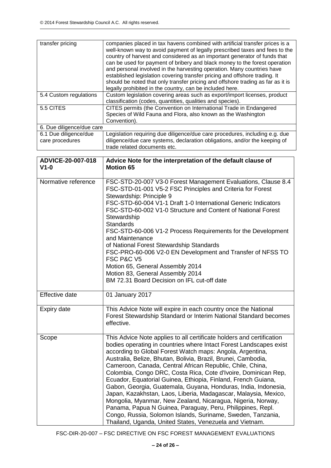| transfer pricing                         | companies placed in tax havens combined with artificial transfer prices is a<br>well-known way to avoid payment of legally prescribed taxes and fees to the<br>country of harvest and considered as an important generator of funds that<br>can be used for payment of bribery and black money to the forest operation<br>and personal involved in the harvesting operation. Many countries have<br>established legislation covering transfer pricing and offshore trading. It<br>should be noted that only transfer pricing and offshore trading as far as it is<br>legally prohibited in the country, can be included here. |
|------------------------------------------|-------------------------------------------------------------------------------------------------------------------------------------------------------------------------------------------------------------------------------------------------------------------------------------------------------------------------------------------------------------------------------------------------------------------------------------------------------------------------------------------------------------------------------------------------------------------------------------------------------------------------------|
| 5.4 Custom regulations                   | Custom legislation covering areas such as export/import licenses, product<br>classification (codes, quantities, qualities and species).                                                                                                                                                                                                                                                                                                                                                                                                                                                                                       |
| 5.5 CITES                                | CITES permits (the Convention on International Trade in Endangered<br>Species of Wild Fauna and Flora, also known as the Washington<br>Convention).                                                                                                                                                                                                                                                                                                                                                                                                                                                                           |
| 6. Due diligence/due care                |                                                                                                                                                                                                                                                                                                                                                                                                                                                                                                                                                                                                                               |
| 6.1 Due diligence/due<br>care procedures | Legislation requiring due diligence/due care procedures, including e.g. due<br>diligence/due care systems, declaration obligations, and/or the keeping of<br>trade related documents etc.                                                                                                                                                                                                                                                                                                                                                                                                                                     |

| ADVICE-20-007-018<br>$V1-0$ | Advice Note for the interpretation of the default clause of<br><b>Motion 65</b>                                                                                                                                                                                                                                                                                                                                                                                                                                                                                                                                                                                                                                                                                                                                                                                       |
|-----------------------------|-----------------------------------------------------------------------------------------------------------------------------------------------------------------------------------------------------------------------------------------------------------------------------------------------------------------------------------------------------------------------------------------------------------------------------------------------------------------------------------------------------------------------------------------------------------------------------------------------------------------------------------------------------------------------------------------------------------------------------------------------------------------------------------------------------------------------------------------------------------------------|
| Normative reference         | FSC-STD-20-007 V3-0 Forest Management Evaluations, Clause 8.4<br>FSC-STD-01-001 V5-2 FSC Principles and Criteria for Forest<br>Stewardship: Principle 9<br>FSC-STD-60-004 V1-1 Draft 1-0 International Generic Indicators<br>FSC-STD-60-002 V1-0 Structure and Content of National Forest<br>Stewardship<br><b>Standards</b><br>FSC-STD-60-006 V1-2 Process Requirements for the Development<br>and Maintenance<br>of National Forest Stewardship Standards<br>FSC-PRO-60-006 V2-0 EN Development and Transfer of NFSS TO<br>FSC P&C V5<br>Motion 65, General Assembly 2014<br>Motion 83, General Assembly 2014<br>BM 72.31 Board Decision on IFL cut-off date                                                                                                                                                                                                        |
| <b>Effective date</b>       | 01 January 2017                                                                                                                                                                                                                                                                                                                                                                                                                                                                                                                                                                                                                                                                                                                                                                                                                                                       |
| Expiry date                 | This Advice Note will expire in each country once the National<br>Forest Stewardship Standard or Interim National Standard becomes<br>effective.                                                                                                                                                                                                                                                                                                                                                                                                                                                                                                                                                                                                                                                                                                                      |
| Scope                       | This Advice Note applies to all certificate holders and certification<br>bodies operating in countries where Intact Forest Landscapes exist<br>according to Global Forest Watch maps: Angola, Argentina,<br>Australia, Belize, Bhutan, Bolivia, Brazil, Brunei, Cambodia,<br>Cameroon, Canada, Central African Republic, Chile, China,<br>Colombia, Congo DRC, Costa Rica, Cote d'Ivoire, Dominican Rep,<br>Ecuador, Equatorial Guinea, Ethiopia, Finland, French Guiana,<br>Gabon, Georgia, Guatemala, Guyana, Honduras, India, Indonesia,<br>Japan, Kazakhstan, Laos, Liberia, Madagascar, Malaysia, Mexico,<br>Mongolia, Myanmar, New Zealand, Nicaragua, Nigeria, Norway,<br>Panama, Papua N Guinea, Paraguay, Peru, Philippines, Repl.<br>Congo, Russia, Solomon Islands, Suriname, Sweden, Tanzania,<br>Thailand, Uganda, United States, Venezuela and Vietnam. |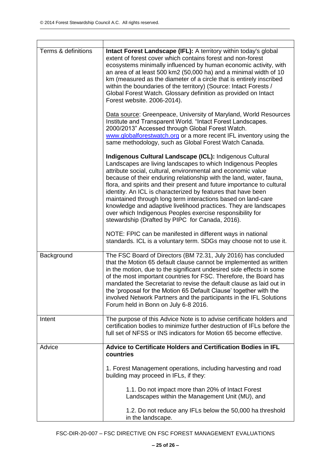| Terms & definitions | Intact Forest Landscape (IFL): A territory within today's global<br>extent of forest cover which contains forest and non-forest<br>ecosystems minimally influenced by human economic activity, with<br>an area of at least 500 km2 (50,000 ha) and a minimal width of 10<br>km (measured as the diameter of a circle that is entirely inscribed<br>within the boundaries of the territory) (Source: Intact Forests /<br>Global Forest Watch. Glossary definition as provided on Intact<br>Forest website. 2006-2014).                                                                                                                                         |
|---------------------|---------------------------------------------------------------------------------------------------------------------------------------------------------------------------------------------------------------------------------------------------------------------------------------------------------------------------------------------------------------------------------------------------------------------------------------------------------------------------------------------------------------------------------------------------------------------------------------------------------------------------------------------------------------|
|                     | Data source: Greenpeace, University of Maryland, World Resources<br>Institute and Transparent World. "Intact Forest Landscapes.<br>2000/2013" Accessed through Global Forest Watch.<br>www.globalforestwatch.org or a more recent IFL inventory using the<br>same methodology, such as Global Forest Watch Canada.                                                                                                                                                                                                                                                                                                                                            |
|                     | Indigenous Cultural Landscape (ICL): Indigenous Cultural<br>Landscapes are living landscapes to which Indigenous Peoples<br>attribute social, cultural, environmental and economic value<br>because of their enduring relationship with the land, water, fauna,<br>flora, and spirits and their present and future importance to cultural<br>identity. An ICL is characterized by features that have been<br>maintained through long term interactions based on land-care<br>knowledge and adaptive livelihood practices. They are landscapes<br>over which Indigenous Peoples exercise responsibility for<br>stewardship (Drafted by PIPC for Canada, 2016). |
|                     | NOTE: FPIC can be manifested in different ways in national<br>standards. ICL is a voluntary term. SDGs may choose not to use it.                                                                                                                                                                                                                                                                                                                                                                                                                                                                                                                              |
| Background          | The FSC Board of Directors (BM 72.31, July 2016) has concluded<br>that the Motion 65 default clause cannot be implemented as written<br>in the motion, due to the significant undesired side effects in some<br>of the most important countries for FSC. Therefore, the Board has<br>mandated the Secretariat to revise the default clause as laid out in<br>the 'proposal for the Motion 65 Default Clause' together with the<br>involved Network Partners and the participants in the IFL Solutions<br>Forum held in Bonn on July 6-8 2016.                                                                                                                 |
| Intent              | The purpose of this Advice Note is to advise certificate holders and<br>certification bodies to minimize further destruction of IFLs before the<br>full set of NFSS or INS indicators for Motion 65 become effective.                                                                                                                                                                                                                                                                                                                                                                                                                                         |
| Advice              | Advice to Certificate Holders and Certification Bodies in IFL<br>countries                                                                                                                                                                                                                                                                                                                                                                                                                                                                                                                                                                                    |
|                     | 1. Forest Management operations, including harvesting and road<br>building may proceed in IFLs, if they:                                                                                                                                                                                                                                                                                                                                                                                                                                                                                                                                                      |
|                     | 1.1. Do not impact more than 20% of Intact Forest<br>Landscapes within the Management Unit (MU), and                                                                                                                                                                                                                                                                                                                                                                                                                                                                                                                                                          |
|                     | 1.2. Do not reduce any IFLs below the 50,000 ha threshold<br>in the landscape.                                                                                                                                                                                                                                                                                                                                                                                                                                                                                                                                                                                |